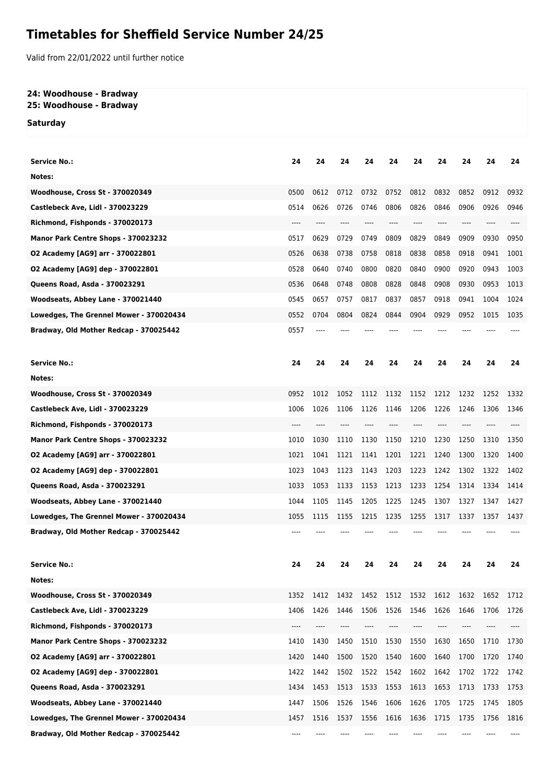# **Timetables for Sheffield Service Number 24/25**

Valid from 22/01/2022 until further notice

#### **24: Woodhouse - Bradway 25: Woodhouse - Bradway**

**Saturday**

| <b>Service No.:</b>                     | 24   | 24   | 24   | 24   | 24        | 24    | 24   | 24   | 24   | 24   |
|-----------------------------------------|------|------|------|------|-----------|-------|------|------|------|------|
| Notes:                                  |      |      |      |      |           |       |      |      |      |      |
| Woodhouse, Cross St - 370020349         | 0500 | 0612 | 0712 | 0732 | 0752      | 0812  | 0832 | 0852 | 0912 | 0932 |
| Castlebeck Ave, Lidl - 370023229        | 0514 | 0626 | 0726 | 0746 | 0806      | 0826  | 0846 | 0906 | 0926 | 0946 |
| Richmond, Fishponds - 370020173         | ---- |      |      |      |           |       | ---- |      |      |      |
| Manor Park Centre Shops - 370023232     | 0517 | 0629 | 0729 | 0749 | 0809      | 0829  | 0849 | 0909 | 0930 | 0950 |
| 02 Academy [AG9] arr - 370022801        | 0526 | 0638 | 0738 | 0758 | 0818      | 0838  | 0858 | 0918 | 0941 | 1001 |
| 02 Academy [AG9] dep - 370022801        | 0528 | 0640 | 0740 | 0800 | 0820      | 0840  | 0900 | 0920 | 0943 | 1003 |
| Queens Road, Asda - 370023291           | 0536 | 0648 | 0748 | 0808 | 0828      | 0848  | 0908 | 0930 | 0953 | 1013 |
| Woodseats, Abbey Lane - 370021440       | 0545 | 0657 | 0757 | 0817 | 0837      | 0857  | 0918 | 0941 | 1004 | 1024 |
| Lowedges, The Grennel Mower - 370020434 | 0552 | 0704 | 0804 | 0824 | 0844      | 0904  | 0929 | 0952 | 1015 | 1035 |
| Bradway, Old Mother Redcap - 370025442  | 0557 | ---- |      |      |           |       |      |      |      |      |
|                                         |      |      |      |      |           |       |      |      |      |      |
| <b>Service No.:</b>                     | 24   | 24   | 24   | 24   | 24        | 24    | 24   | 24   | 24   | 24   |
| Notes:                                  |      |      |      |      |           |       |      |      |      |      |
| <b>Woodhouse, Cross St - 370020349</b>  | 0952 | 1012 | 1052 | 1112 | 1132      | 1152  | 1212 | 1232 | 1252 | 1332 |
| Castlebeck Ave, Lidl - 370023229        | 1006 | 1026 | 1106 | 1126 | 1146      | 1206  | 1226 | 1246 | 1306 | 1346 |
| Richmond, Fishponds - 370020173         | ---- |      |      |      |           |       |      |      |      |      |
| Manor Park Centre Shops - 370023232     | 1010 | 1030 | 1110 | 1130 | 1150      | 1210  | 1230 | 1250 | 1310 | 1350 |
| 02 Academy [AG9] arr - 370022801        | 1021 | 1041 | 1121 | 1141 | 1201      | 1221  | 1240 | 1300 | 1320 | 1400 |
| 02 Academy [AG9] dep - 370022801        | 1023 | 1043 | 1123 | 1143 | 1203      | 1223  | 1242 | 1302 | 1322 | 1402 |
| Queens Road, Asda - 370023291           | 1033 | 1053 | 1133 | 1153 | 1213      | 1233  | 1254 | 1314 | 1334 | 1414 |
| Woodseats, Abbey Lane - 370021440       | 1044 | 1105 | 1145 | 1205 | 1225      | 1245  | 1307 | 1327 | 1347 | 1427 |
| Lowedges, The Grennel Mower - 370020434 | 1055 | 1115 | 1155 | 1215 | 1235      | 1255  | 1317 | 1337 | 1357 | 1437 |
| Bradway, Old Mother Redcap - 370025442  |      |      |      |      |           |       |      |      |      |      |
|                                         |      |      |      |      |           |       |      |      |      |      |
| <b>Service No.:</b>                     | 24   | 24   | 24   | 24   | 24        | 24    | 24   | 24   | 24   | 24   |
| Notes:                                  |      |      |      |      |           |       |      |      |      |      |
| <b>Woodhouse, Cross St - 370020349</b>  | 1352 | 1412 | 1432 | 1452 | 1512 1532 |       | 1612 | 1632 | 1652 | 1712 |
| Castlebeck Ave, Lidl - 370023229        | 1406 | 1426 | 1446 | 1506 | 1526      | 1546  | 1626 | 1646 | 1706 | 1726 |
| Richmond, Fishponds - 370020173         | ---- | ---- | ---- | ---- | $---$     | $---$ | ---- | ---- | ---- | ---- |
| Manor Park Centre Shops - 370023232     | 1410 | 1430 | 1450 | 1510 | 1530      | 1550  | 1630 | 1650 | 1710 | 1730 |
| 02 Academy [AG9] arr - 370022801        | 1420 | 1440 | 1500 | 1520 | 1540      | 1600  | 1640 | 1700 | 1720 | 1740 |
| 02 Academy [AG9] dep - 370022801        | 1422 | 1442 | 1502 | 1522 | 1542      | 1602  | 1642 | 1702 | 1722 | 1742 |
| Queens Road, Asda - 370023291           | 1434 | 1453 | 1513 | 1533 | 1553      | 1613  | 1653 | 1713 | 1733 | 1753 |
| Woodseats, Abbey Lane - 370021440       | 1447 | 1506 | 1526 | 1546 | 1606      | 1626  | 1705 | 1725 | 1745 | 1805 |
| Lowedges, The Grennel Mower - 370020434 | 1457 | 1516 | 1537 | 1556 | 1616      | 1636  | 1715 | 1735 | 1756 | 1816 |
| Bradway, Old Mother Redcap - 370025442  | ---- |      |      |      |           |       |      |      |      | ---- |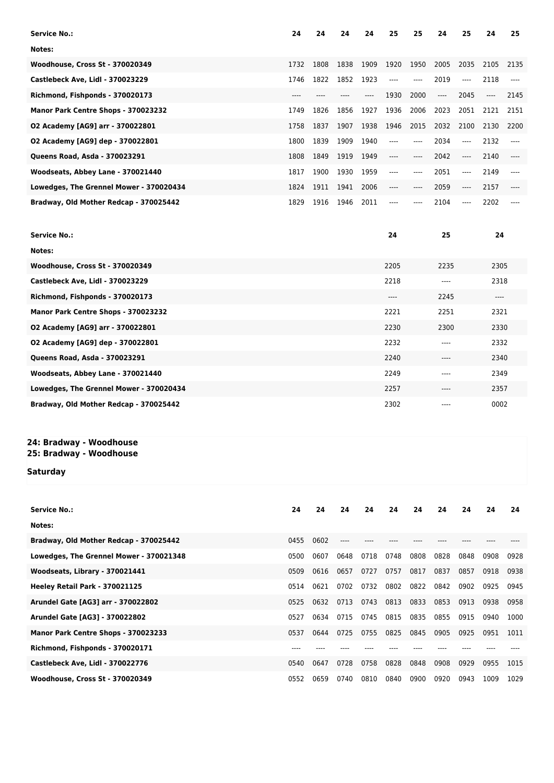| <b>Service No.:</b>                     | 24      | 24   | 24   | 24   | 25   | 25    | 24   | 25    | 24    | 25    |
|-----------------------------------------|---------|------|------|------|------|-------|------|-------|-------|-------|
| Notes:                                  |         |      |      |      |      |       |      |       |       |       |
| <b>Woodhouse, Cross St - 370020349</b>  | 1732    | 1808 | 1838 | 1909 | 1920 | 1950  | 2005 | 2035  | 2105  | 2135  |
| Castlebeck Ave, Lidl - 370023229        | 1746    | 1822 | 1852 | 1923 | ---- | ----  | 2019 | $---$ | 2118  | $---$ |
| Richmond, Fishponds - 370020173         | $--- -$ |      |      | ---- | 1930 | 2000  | ---- | 2045  | $---$ | 2145  |
| Manor Park Centre Shops - 370023232     | 1749    | 1826 | 1856 | 1927 | 1936 | 2006  | 2023 | 2051  | 2121  | 2151  |
| 02 Academy [AG9] arr - 370022801        | 1758    | 1837 | 1907 | 1938 | 1946 | 2015  | 2032 | 2100  | 2130  | 2200  |
| 02 Academy [AG9] dep - 370022801        | 1800    | 1839 | 1909 | 1940 | ---- | ----  | 2034 | ----  | 2132  | ----  |
| Queens Road, Asda - 370023291           | 1808    | 1849 | 1919 | 1949 | ---- | $---$ | 2042 | ----  | 2140  | ----  |
| Woodseats, Abbey Lane - 370021440       | 1817    | 1900 | 1930 | 1959 | ---- | ----  | 2051 | ----  | 2149  | ----  |
| Lowedges, The Grennel Mower - 370020434 | 1824    | 1911 | 1941 | 2006 | ---- | ----  | 2059 | ----  | 2157  | ----  |
| Bradway, Old Mother Redcap - 370025442  | 1829    | 1916 | 1946 | 2011 | ---- | ----  | 2104 | ----  | 2202  |       |
|                                         |         |      |      |      |      |       |      |       |       |       |
| <b>Service No.:</b>                     |         |      |      |      | 24   |       | 25   |       | 24    |       |
| Notes:                                  |         |      |      |      |      |       |      |       |       |       |
| Woodhouse, Cross St - 370020349         |         |      |      |      | 2205 |       | 2235 |       | 2305  |       |
| Castlebeck Ave, Lidl - 370023229        |         |      |      |      | 2218 | ----  |      |       | 2318  |       |
| Richmond, Fishponds - 370020173         |         |      |      |      | ---- |       | 2245 |       | ----  |       |
| Manor Park Centre Shops - 370023232     |         |      |      |      | 2221 |       | 2251 |       | 2321  |       |

**O2 Academy [AG9] arr - 370022801** 2330 2330 2330 2330 2330 2330 2330 **O2 Academy [AG9] dep - 370022801** 2332 2232 2332 **Queens Road, Asda - 370023291** 2340 **Moodseats, Abbey Lane - 370021440** 2349 2349 2349 2349 2349 2349 2349 **Lowedges, The Grennel Mower - 370020434** 2257 2357 **Bradway, Old Mother Redcap - 370025442** 2302 ---- 0002

## **24: Bradway - Woodhouse**

### **25: Bradway - Woodhouse**

#### **Saturday**

| <b>Service No.:</b>                     | 24   | 24   | 24   | 24   | 24   | 24   | 24   | 24   | 24   | 24   |
|-----------------------------------------|------|------|------|------|------|------|------|------|------|------|
| Notes:                                  |      |      |      |      |      |      |      |      |      |      |
| Bradway, Old Mother Redcap - 370025442  | 0455 | 0602 |      |      |      |      |      |      |      |      |
| Lowedges, The Grennel Mower - 370021348 | 0500 | 0607 | 0648 | 0718 | 0748 | 0808 | 0828 | 0848 | 0908 | 0928 |
| Woodseats, Library - 370021441          | 0509 | 0616 | 0657 | 0727 | 0757 | 0817 | 0837 | 0857 | 0918 | 0938 |
| Heeley Retail Park - 370021125          | 0514 | 0621 | 0702 | 0732 | 0802 | 0822 | 0842 | 0902 | 0925 | 0945 |
| Arundel Gate [AG3] arr - 370022802      | 0525 | 0632 | 0713 | 0743 | 0813 | 0833 | 0853 | 0913 | 0938 | 0958 |
| Arundel Gate [AG3] - 370022802          | 0527 | 0634 | 0715 | 0745 | 0815 | 0835 | 0855 | 0915 | 0940 | 1000 |
| Manor Park Centre Shops - 370023233     | 0537 | 0644 | 0725 | 0755 | 0825 | 0845 | 0905 | 0925 | 0951 | 1011 |
| Richmond, Fishponds - 370020171         | ---- |      |      |      |      |      |      |      |      |      |
| <b>Castlebeck Ave, Lidl - 370022776</b> | 0540 | 0647 | 0728 | 0758 | 0828 | 0848 | 0908 | 0929 | 0955 | 1015 |
| <b>Woodhouse, Cross St - 370020349</b>  | 0552 | 0659 | 0740 | 0810 | 0840 | 0900 | 0920 | 0943 | 1009 | 1029 |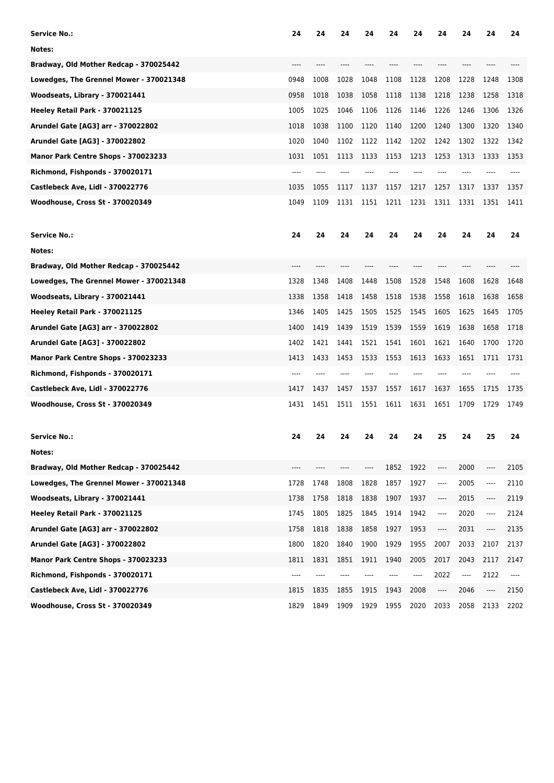| <b>Service No.:</b>                     | 24   | 24   | 24   | 24                            | 24   | 24   | 24                       | 24   | 24   | 24    |
|-----------------------------------------|------|------|------|-------------------------------|------|------|--------------------------|------|------|-------|
| Notes:                                  |      |      |      |                               |      |      |                          |      |      |       |
| Bradway, Old Mother Redcap - 370025442  |      |      |      |                               |      |      |                          |      |      |       |
| Lowedges, The Grennel Mower - 370021348 | 0948 | 1008 | 1028 | 1048                          | 1108 | 1128 | 1208                     | 1228 | 1248 | 1308  |
| Woodseats, Library - 370021441          | 0958 | 1018 | 1038 | 1058                          | 1118 | 1138 | 1218                     | 1238 | 1258 | 1318  |
| Heeley Retail Park - 370021125          | 1005 | 1025 | 1046 | 1106                          | 1126 | 1146 | 1226                     | 1246 | 1306 | 1326  |
| Arundel Gate [AG3] arr - 370022802      | 1018 | 1038 | 1100 | 1120                          | 1140 | 1200 | 1240                     | 1300 | 1320 | 1340  |
| Arundel Gate [AG3] - 370022802          | 1020 | 1040 | 1102 | 1122                          | 1142 | 1202 | 1242                     | 1302 | 1322 | 1342  |
| Manor Park Centre Shops - 370023233     | 1031 | 1051 | 1113 | 1133                          | 1153 | 1213 | 1253                     | 1313 | 1333 | 1353  |
| Richmond, Fishponds - 370020171         |      |      |      |                               |      |      |                          |      |      |       |
| Castlebeck Ave, Lidl - 370022776        | 1035 | 1055 | 1117 | 1137                          | 1157 | 1217 | 1257                     | 1317 | 1337 | 1357  |
| <b>Woodhouse, Cross St - 370020349</b>  | 1049 | 1109 | 1131 | 1151                          | 1211 | 1231 | 1311                     | 1331 | 1351 | 1411  |
| <b>Service No.:</b>                     | 24   | 24   | 24   | 24                            | 24   | 24   | 24                       | 24   | 24   | 24    |
| Notes:                                  |      |      |      |                               |      |      |                          |      |      |       |
| Bradway, Old Mother Redcap - 370025442  | ---- |      |      |                               |      |      |                          |      |      |       |
| Lowedges, The Grennel Mower - 370021348 | 1328 | 1348 | 1408 | 1448                          | 1508 | 1528 | 1548                     | 1608 | 1628 | 1648  |
| Woodseats, Library - 370021441          | 1338 | 1358 | 1418 | 1458                          | 1518 | 1538 | 1558                     | 1618 | 1638 | 1658  |
| Heeley Retail Park - 370021125          | 1346 | 1405 | 1425 | 1505                          | 1525 | 1545 | 1605                     | 1625 | 1645 | 1705  |
| Arundel Gate [AG3] arr - 370022802      | 1400 | 1419 | 1439 | 1519                          | 1539 | 1559 | 1619                     | 1638 | 1658 | 1718  |
| Arundel Gate [AG3] - 370022802          | 1402 | 1421 | 1441 | 1521                          | 1541 | 1601 | 1621                     | 1640 | 1700 | 1720  |
| Manor Park Centre Shops - 370023233     | 1413 | 1433 | 1453 | 1533                          | 1553 | 1613 | 1633                     | 1651 | 1711 | 1731  |
| Richmond, Fishponds - 370020171         | ---- |      |      |                               |      |      |                          |      |      |       |
| Castlebeck Ave, Lidl - 370022776        | 1417 | 1437 | 1457 | 1537                          | 1557 | 1617 | 1637                     | 1655 | 1715 | 1735  |
| <b>Woodhouse, Cross St - 370020349</b>  | 1431 | 1451 | 1511 | 1551                          | 1611 | 1631 | 1651                     | 1709 | 1729 | 1749  |
| <b>Service No.:</b>                     | 24   | 24   | 24   | 24                            | 24   | 24   | 25                       | 24   | 25   | 24    |
| Notes:                                  |      |      |      |                               |      |      |                          |      |      |       |
| Bradway, Old Mother Redcap - 370025442  | ---- | ---- | ---- | $\hspace{1.5cm} \textbf{---}$ | 1852 | 1922 | ----                     | 2000 | ---- | 2105  |
| Lowedges, The Grennel Mower - 370021348 | 1728 | 1748 | 1808 | 1828                          | 1857 | 1927 | $\overline{\phantom{a}}$ | 2005 | ---- | 2110  |
| Woodseats, Library - 370021441          | 1738 | 1758 | 1818 | 1838                          | 1907 | 1937 | ----                     | 2015 | ---- | 2119  |
| Heeley Retail Park - 370021125          | 1745 | 1805 | 1825 | 1845                          | 1914 | 1942 | ----                     | 2020 | ---- | 2124  |
| Arundel Gate [AG3] arr - 370022802      | 1758 | 1818 | 1838 | 1858                          | 1927 | 1953 | ----                     | 2031 | ---- | 2135  |
| Arundel Gate [AG3] - 370022802          | 1800 | 1820 | 1840 | 1900                          | 1929 | 1955 | 2007                     | 2033 | 2107 | 2137  |
| Manor Park Centre Shops - 370023233     | 1811 | 1831 | 1851 | 1911                          | 1940 | 2005 | 2017                     | 2043 | 2117 | 2147  |
| Richmond, Fishponds - 370020171         | ---- | ---- | ---- |                               |      | ---- | 2022                     | ---- | 2122 | $---$ |
| Castlebeck Ave, Lidl - 370022776        | 1815 | 1835 | 1855 | 1915                          | 1943 | 2008 | ----                     | 2046 | ---- | 2150  |
| Woodhouse, Cross St - 370020349         | 1829 | 1849 | 1909 | 1929                          | 1955 | 2020 | 2033                     | 2058 | 2133 | 2202  |